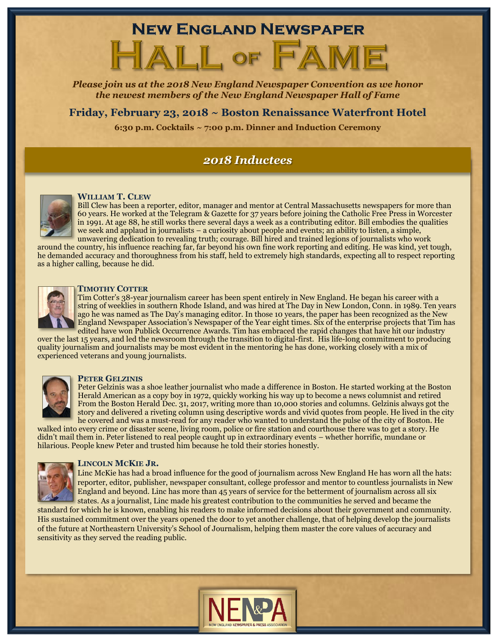## **NEW ENGLAND NEWSPAPER**

# ALL OF F

*Please join us at the 2018 New England Newspaper Convention as we honor the newest members of the New England Newspaper Hall of Fame* 

**Friday, February 23, 2018 ~ Boston Renaissance Waterfront Hotel**

**6:30 p.m. Cocktails ~ 7:00 p.m. Dinner and Induction Ceremony**

### *2018 Inductees*



### **WILLIAM T. CLEW**

Bill Clew has been a reporter, editor, manager and mentor at Central Massachusetts newspapers for more than 60 years. He worked at the Telegram & Gazette for 37 years before joining the Catholic Free Press in Worcester in 1991. At age 88, he still works there several days a week as a contributing editor. Bill embodies the qualities we seek and applaud in journalists – a curiosity about people and events; an ability to listen, a simple, unwavering dedication to revealing truth; courage. Bill hired and trained legions of journalists who work

around the country, his influence reaching far, far beyond his own fine work reporting and editing. He was kind, yet tough, he demanded accuracy and thoroughness from his staff, held to extremely high standards, expecting all to respect reporting as a higher calling, because he did.



### **TIMOTHY COTTER**

Tim Cotter's 38-year journalism career has been spent entirely in New England. He began his career with a string of weeklies in southern Rhode Island, and was hired at The Day in New London, Conn. in 1989. Ten years ago he was named as The Day's managing editor. In those 10 years, the paper has been recognized as the New England Newspaper Association's Newspaper of the Year eight times. Six of the enterprise projects that Tim has edited have won Publick Occurrence Awards. Tim has embraced the rapid changes that have hit our industry

over the last 15 years, and led the newsroom through the transition to digital-first. His life-long commitment to producing quality journalism and journalists may be most evident in the mentoring he has done, working closely with a mix of experienced veterans and young journalists.



### **PETER GELZINIS**

Peter Gelzinis was a shoe leather journalist who made a difference in Boston. He started working at the Boston Herald American as a copy boy in 1972, quickly working his way up to become a news columnist and retired From the Boston Herald Dec. 31, 2017, writing more than 10,000 stories and columns. Gelzinis always got the story and delivered a riveting column using descriptive words and vivid quotes from people. He lived in the city he covered and was a must-read for any reader who wanted to understand the pulse of the city of Boston. He

walked into every crime or disaster scene, living room, police or fire station and courthouse there was to get a story. He didn't mail them in. Peter listened to real people caught up in extraordinary events – whether horrific, mundane or hilarious. People knew Peter and trusted him because he told their stories honestly.



### **LINCOLN MCKIE JR.**

Linc McKie has had a broad influence for the good of journalism across New England He has worn all the hats: reporter, editor, publisher, newspaper consultant, college professor and mentor to countless journalists in New England and beyond. Linc has more than 45 years of service for the betterment of journalism across all six states. As a journalist, Linc made his greatest contribution to the communities he served and became the

standard for which he is known, enabling his readers to make informed decisions about their government and community. His sustained commitment over the years opened the door to yet another challenge, that of helping develop the journalists of the future at Northeastern University's School of Journalism, helping them master the core values of accuracy and sensitivity as they served the reading public.